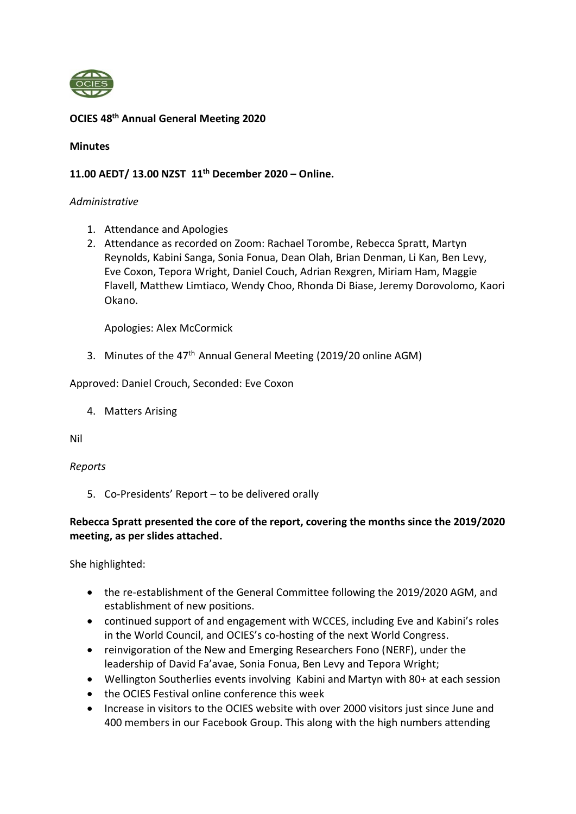

# **OCIES 48 th Annual General Meeting 2020**

#### **Minutes**

## **11.00 AEDT/ 13.00 NZST 11th December 2020 – Online.**

#### *Administrative*

- 1. Attendance and Apologies
- 2. Attendance as recorded on Zoom: Rachael Torombe, Rebecca Spratt, Martyn Reynolds, Kabini Sanga, Sonia Fonua, Dean Olah, Brian Denman, Li Kan, Ben Levy, Eve Coxon, Tepora Wright, Daniel Couch, Adrian Rexgren, Miriam Ham, Maggie Flavell, Matthew Limtiaco, Wendy Choo, Rhonda Di Biase, Jeremy Dorovolomo, Kaori Okano.

Apologies: Alex McCormick

3. Minutes of the 47<sup>th</sup> Annual General Meeting (2019/20 online AGM)

Approved: Daniel Crouch, Seconded: Eve Coxon

4. Matters Arising

Nil

#### *Reports*

5. Co-Presidents' Report – to be delivered orally

# **Rebecca Spratt presented the core of the report, covering the months since the 2019/2020 meeting, as per slides attached.**

She highlighted:

- the re-establishment of the General Committee following the 2019/2020 AGM, and establishment of new positions.
- continued support of and engagement with WCCES, including Eve and Kabini's roles in the World Council, and OCIES's co-hosting of the next World Congress.
- reinvigoration of the New and Emerging Researchers Fono (NERF), under the leadership of David Fa'avae, Sonia Fonua, Ben Levy and Tepora Wright;
- Wellington Southerlies events involving Kabini and Martyn with 80+ at each session
- the OCIES Festival online conference this week
- Increase in visitors to the OCIES website with over 2000 visitors just since June and 400 members in our Facebook Group. This along with the high numbers attending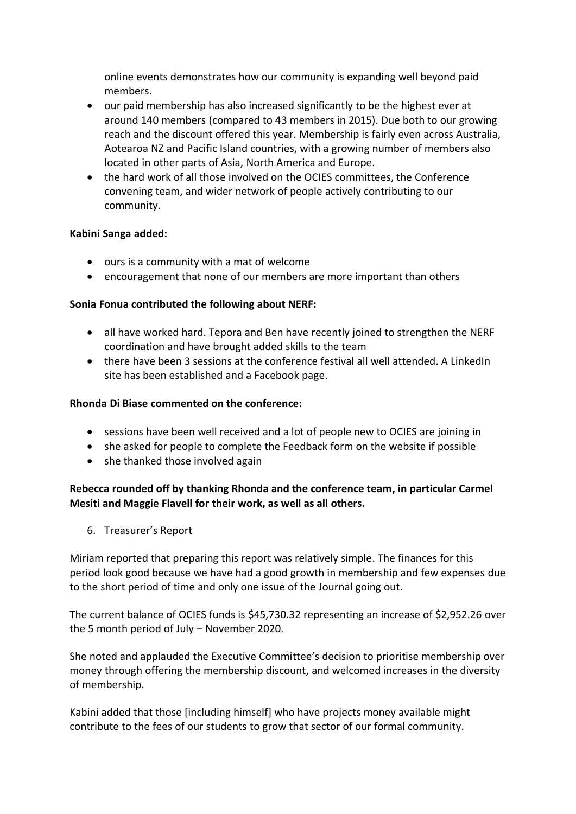online events demonstrates how our community is expanding well beyond paid members.

- our paid membership has also increased significantly to be the highest ever at around 140 members (compared to 43 members in 2015). Due both to our growing reach and the discount offered this year. Membership is fairly even across Australia, Aotearoa NZ and Pacific Island countries, with a growing number of members also located in other parts of Asia, North America and Europe.
- the hard work of all those involved on the OCIES committees, the Conference convening team, and wider network of people actively contributing to our community.

## **Kabini Sanga added:**

- ours is a community with a mat of welcome
- encouragement that none of our members are more important than others

## **Sonia Fonua contributed the following about NERF:**

- all have worked hard. Tepora and Ben have recently joined to strengthen the NERF coordination and have brought added skills to the team
- there have been 3 sessions at the conference festival all well attended. A LinkedIn site has been established and a Facebook page.

## **Rhonda Di Biase commented on the conference:**

- sessions have been well received and a lot of people new to OCIES are joining in
- she asked for people to complete the Feedback form on the website if possible
- she thanked those involved again

# **Rebecca rounded off by thanking Rhonda and the conference team, in particular Carmel Mesiti and Maggie Flavell for their work, as well as all others.**

6. Treasurer's Report

Miriam reported that preparing this report was relatively simple. The finances for this period look good because we have had a good growth in membership and few expenses due to the short period of time and only one issue of the Journal going out.

The current balance of OCIES funds is \$45,730.32 representing an increase of \$2,952.26 over the 5 month period of July – November 2020.

She noted and applauded the Executive Committee's decision to prioritise membership over money through offering the membership discount, and welcomed increases in the diversity of membership.

Kabini added that those [including himself] who have projects money available might contribute to the fees of our students to grow that sector of our formal community.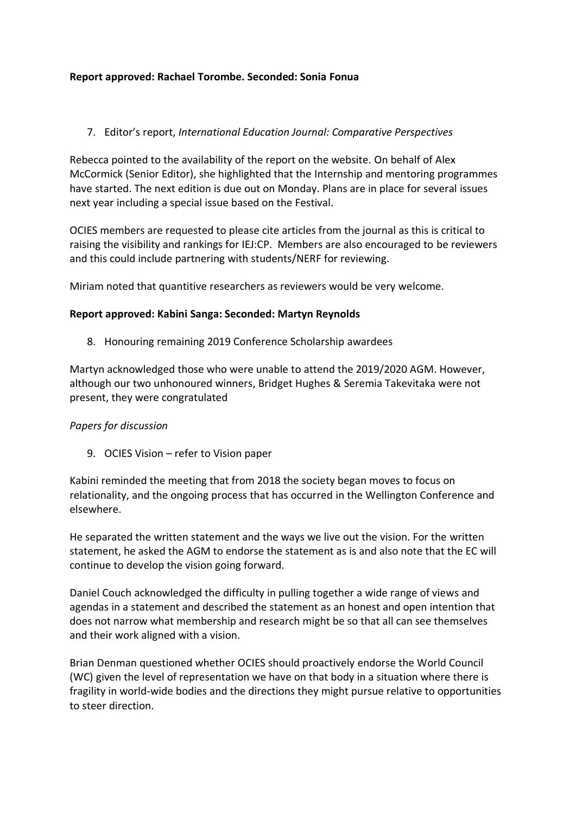# **Report approved: Rachael Torombe. Seconded: Sonia Fonua**

# 7. Editor's report, *International Education Journal: Comparative Perspectives*

Rebecca pointed to the availability of the report on the website. On behalf of Alex McCormick (Senior Editor), she highlighted that the Internship and mentoring programmes have started. The next edition is due out on Monday. Plans are in place for several issues next year including a special issue based on the Festival.

OCIES members are requested to please cite articles from the journal as this is critical to raising the visibility and rankings for IEJ:CP. Members are also encouraged to be reviewers and this could include partnering with students/NERF for reviewing.

Miriam noted that quantitive researchers as reviewers would be very welcome.

## **Report approved: Kabini Sanga: Seconded: Martyn Reynolds**

8. Honouring remaining 2019 Conference Scholarship awardees

Martyn acknowledged those who were unable to attend the 2019/2020 AGM. However, although our two unhonoured winners, Bridget Hughes & Seremia Takevitaka were not present, they were congratulated

#### *Papers for discussion*

9. OCIES Vision – refer to Vision paper

Kabini reminded the meeting that from 2018 the society began moves to focus on relationality, and the ongoing process that has occurred in the Wellington Conference and elsewhere.

He separated the written statement and the ways we live out the vision. For the written statement, he asked the AGM to endorse the statement as is and also note that the EC will continue to develop the vision going forward.

Daniel Couch acknowledged the difficulty in pulling together a wide range of views and agendas in a statement and described the statement as an honest and open intention that does not narrow what membership and research might be so that all can see themselves and their work aligned with a vision.

Brian Denman questioned whether OCIES should proactively endorse the World Council (WC) given the level of representation we have on that body in a situation where there is fragility in world-wide bodies and the directions they might pursue relative to opportunities to steer direction.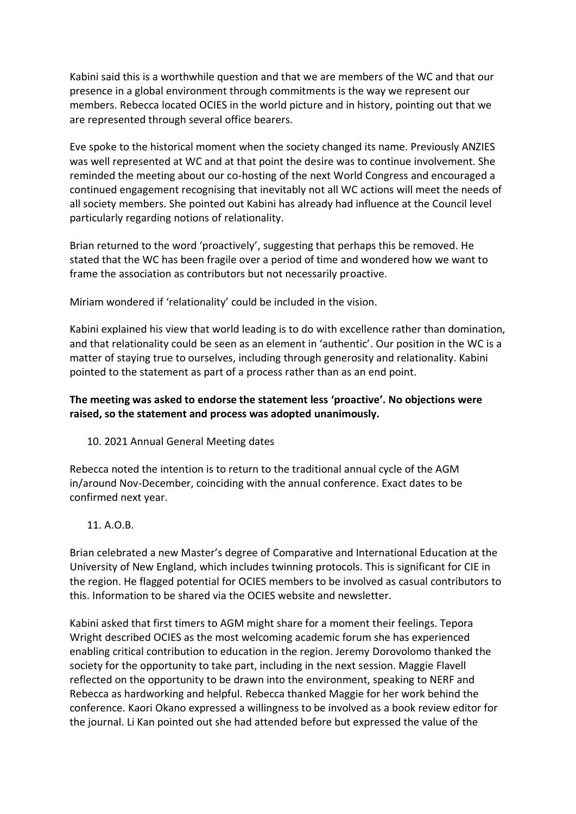Kabini said this is a worthwhile question and that we are members of the WC and that our presence in a global environment through commitments is the way we represent our members. Rebecca located OCIES in the world picture and in history, pointing out that we are represented through several office bearers.

Eve spoke to the historical moment when the society changed its name. Previously ANZIES was well represented at WC and at that point the desire was to continue involvement. She reminded the meeting about our co-hosting of the next World Congress and encouraged a continued engagement recognising that inevitably not all WC actions will meet the needs of all society members. She pointed out Kabini has already had influence at the Council level particularly regarding notions of relationality.

Brian returned to the word 'proactively', suggesting that perhaps this be removed. He stated that the WC has been fragile over a period of time and wondered how we want to frame the association as contributors but not necessarily proactive.

Miriam wondered if 'relationality' could be included in the vision.

Kabini explained his view that world leading is to do with excellence rather than domination, and that relationality could be seen as an element in 'authentic'. Our position in the WC is a matter of staying true to ourselves, including through generosity and relationality. Kabini pointed to the statement as part of a process rather than as an end point.

# **The meeting was asked to endorse the statement less 'proactive'. No objections were raised, so the statement and process was adopted unanimously.**

10. 2021 Annual General Meeting dates

Rebecca noted the intention is to return to the traditional annual cycle of the AGM in/around Nov-December, coinciding with the annual conference. Exact dates to be confirmed next year.

#### 11. A.O.B.

Brian celebrated a new Master's degree of Comparative and International Education at the University of New England, which includes twinning protocols. This is significant for CIE in the region. He flagged potential for OCIES members to be involved as casual contributors to this. Information to be shared via the OCIES website and newsletter.

Kabini asked that first timers to AGM might share for a moment their feelings. Tepora Wright described OCIES as the most welcoming academic forum she has experienced enabling critical contribution to education in the region. Jeremy Dorovolomo thanked the society for the opportunity to take part, including in the next session. Maggie Flavell reflected on the opportunity to be drawn into the environment, speaking to NERF and Rebecca as hardworking and helpful. Rebecca thanked Maggie for her work behind the conference. Kaori Okano expressed a willingness to be involved as a book review editor for the journal. Li Kan pointed out she had attended before but expressed the value of the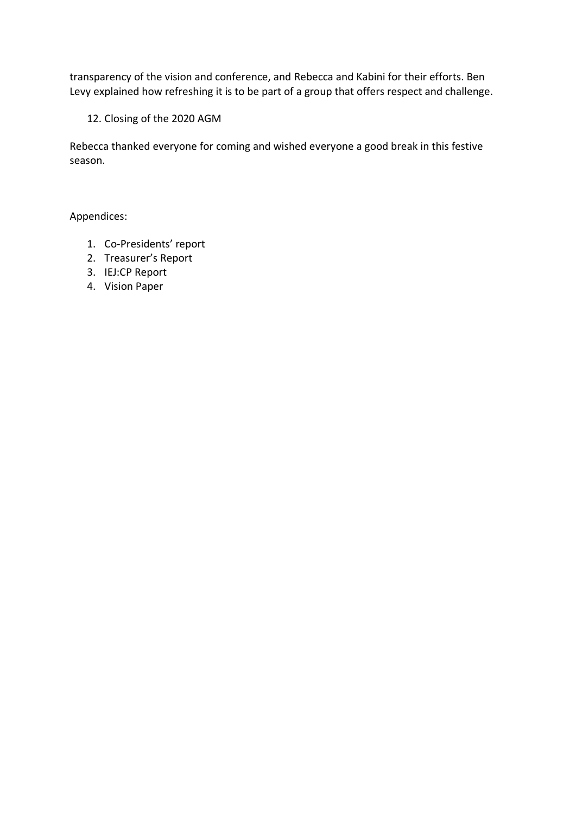transparency of the vision and conference, and Rebecca and Kabini for their efforts. Ben Levy explained how refreshing it is to be part of a group that offers respect and challenge.

12. Closing of the 2020 AGM

Rebecca thanked everyone for coming and wished everyone a good break in this festive season.

Appendices:

- 1. Co-Presidents' report
- 2. Treasurer's Report
- 3. IEJ:CP Report
- 4. Vision Paper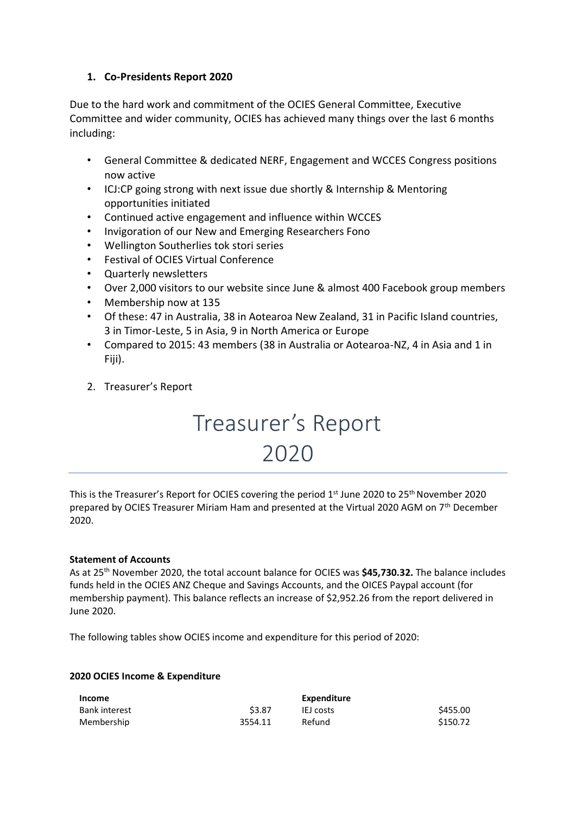# **1. Co-Presidents Report 2020**

Due to the hard work and commitment of the OCIES General Committee, Executive Committee and wider community, OCIES has achieved many things over the last 6 months including:

- General Committee & dedicated NERF, Engagement and WCCES Congress positions now active
- ICJ:CP going strong with next issue due shortly & Internship & Mentoring opportunities initiated
- Continued active engagement and influence within WCCES
- Invigoration of our New and Emerging Researchers Fono
- Wellington Southerlies tok stori series
- Festival of OCIES Virtual Conference
- Quarterly newsletters
- Over 2,000 visitors to our website since June & almost 400 Facebook group members
- Membership now at 135
- Of these: 47 in Australia, 38 in Aotearoa New Zealand, 31 in Pacific Island countries, 3 in Timor-Leste, 5 in Asia, 9 in North America or Europe
- Compared to 2015: 43 members (38 in Australia or Aotearoa-NZ, 4 in Asia and 1 in Fiji).
- 2. Treasurer's Report

# Treasurer's Report 2020

This is the Treasurer's Report for OCIES covering the period  $1<sup>st</sup>$  June 2020 to 25<sup>th</sup> November 2020 prepared by OCIES Treasurer Miriam Ham and presented at the Virtual 2020 AGM on 7<sup>th</sup> December 2020.

#### **Statement of Accounts**

As at 25th November 2020, the total account balance for OCIES was **\$45,730.32.** The balance includes funds held in the OCIES ANZ Cheque and Savings Accounts, and the OICES Paypal account (for membership payment). This balance reflects an increase of \$2,952.26 from the report delivered in June 2020.

The following tables show OCIES income and expenditure for this period of 2020:

#### **2020 OCIES Income & Expenditure**

| <b>Income</b> |         | Expenditure |          |
|---------------|---------|-------------|----------|
| Bank interest | \$3.87  | IEJ costs   | \$455.00 |
| Membership    | 3554.11 | Refund      | \$150.72 |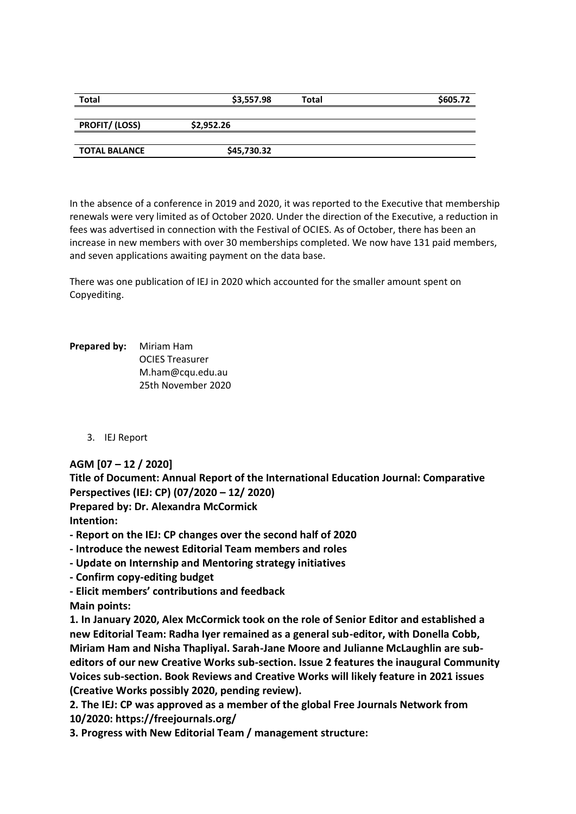| <b>Total</b>          | \$3,557.98  | Total | \$605.72 |
|-----------------------|-------------|-------|----------|
|                       |             |       |          |
| <b>PROFIT/ (LOSS)</b> | \$2,952.26  |       |          |
|                       |             |       |          |
| <b>TOTAL BALANCE</b>  | \$45,730.32 |       |          |

In the absence of a conference in 2019 and 2020, it was reported to the Executive that membership renewals were very limited as of October 2020. Under the direction of the Executive, a reduction in fees was advertised in connection with the Festival of OCIES. As of October, there has been an increase in new members with over 30 memberships completed. We now have 131 paid members, and seven applications awaiting payment on the data base.

There was one publication of IEJ in 2020 which accounted for the smaller amount spent on Copyediting.

**Prepared by:** Miriam Ham OCIES Treasurer M.ham@cqu.edu.au 25th November 2020

3. IEJ Report

# **AGM [07 – 12 / 2020]**

**Title of Document: Annual Report of the International Education Journal: Comparative Perspectives (IEJ: CP) (07/2020 – 12/ 2020) Prepared by: Dr. Alexandra McCormick**

**Intention:**

**- Report on the IEJ: CP changes over the second half of 2020**

**- Introduce the newest Editorial Team members and roles**

- **- Update on Internship and Mentoring strategy initiatives**
- **- Confirm copy-editing budget**

**- Elicit members' contributions and feedback Main points:**

**1. In January 2020, Alex McCormick took on the role of Senior Editor and established a new Editorial Team: Radha Iyer remained as a general sub-editor, with Donella Cobb, Miriam Ham and Nisha Thapliyal. Sarah-Jane Moore and Julianne McLaughlin are subeditors of our new Creative Works sub-section. Issue 2 features the inaugural Community Voices sub-section. Book Reviews and Creative Works will likely feature in 2021 issues (Creative Works possibly 2020, pending review).**

**2. The IEJ: CP was approved as a member of the global Free Journals Network from 10/2020: https://freejournals.org/**

**3. Progress with New Editorial Team / management structure:**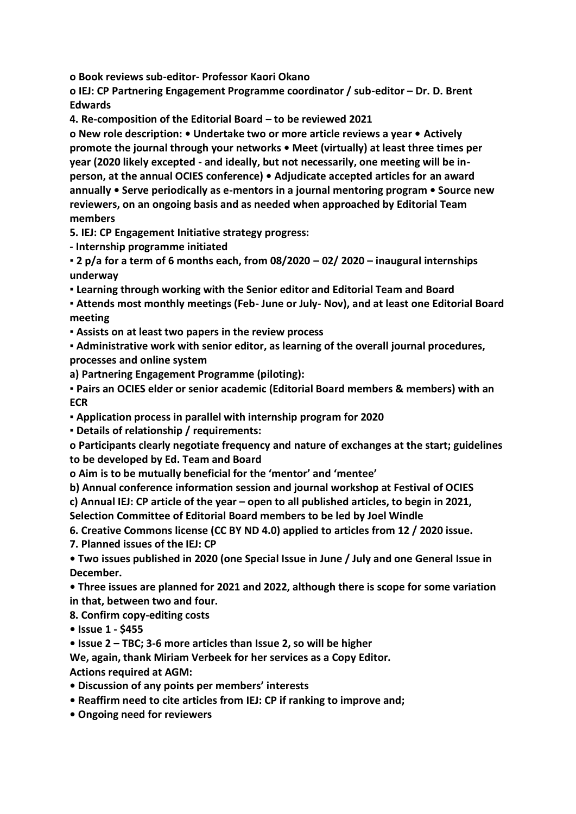**o Book reviews sub-editor- Professor Kaori Okano**

**o IEJ: CP Partnering Engagement Programme coordinator / sub-editor – Dr. D. Brent Edwards**

**4. Re-composition of the Editorial Board – to be reviewed 2021**

**o New role description: • Undertake two or more article reviews a year • Actively promote the journal through your networks • Meet (virtually) at least three times per year (2020 likely excepted - and ideally, but not necessarily, one meeting will be inperson, at the annual OCIES conference) • Adjudicate accepted articles for an award annually • Serve periodically as e-mentors in a journal mentoring program • Source new reviewers, on an ongoing basis and as needed when approached by Editorial Team members**

**5. IEJ: CP Engagement Initiative strategy progress:**

**- Internship programme initiated**

**▪ 2 p/a for a term of 6 months each, from 08/2020 – 02/ 2020 – inaugural internships underway**

**▪ Learning through working with the Senior editor and Editorial Team and Board**

**▪ Attends most monthly meetings (Feb- June or July- Nov), and at least one Editorial Board meeting**

**▪ Assists on at least two papers in the review process**

**▪ Administrative work with senior editor, as learning of the overall journal procedures, processes and online system**

**a) Partnering Engagement Programme (piloting):**

**▪ Pairs an OCIES elder or senior academic (Editorial Board members & members) with an ECR**

**▪ Application process in parallel with internship program for 2020**

**▪ Details of relationship / requirements:**

**o Participants clearly negotiate frequency and nature of exchanges at the start; guidelines to be developed by Ed. Team and Board**

**o Aim is to be mutually beneficial for the 'mentor' and 'mentee'**

**b) Annual conference information session and journal workshop at Festival of OCIES**

**c) Annual IEJ: CP article of the year – open to all published articles, to begin in 2021,** 

**Selection Committee of Editorial Board members to be led by Joel Windle**

**6. Creative Commons license (CC BY ND 4.0) applied to articles from 12 / 2020 issue.**

**7. Planned issues of the IEJ: CP**

**• Two issues published in 2020 (one Special Issue in June / July and one General Issue in December.**

**• Three issues are planned for 2021 and 2022, although there is scope for some variation in that, between two and four.**

**8. Confirm copy-editing costs**

**• Issue 1 - \$455**

**• Issue 2 – TBC; 3-6 more articles than Issue 2, so will be higher**

**We, again, thank Miriam Verbeek for her services as a Copy Editor. Actions required at AGM:**

**• Discussion of any points per members' interests**

**• Reaffirm need to cite articles from IEJ: CP if ranking to improve and;**

**• Ongoing need for reviewers**